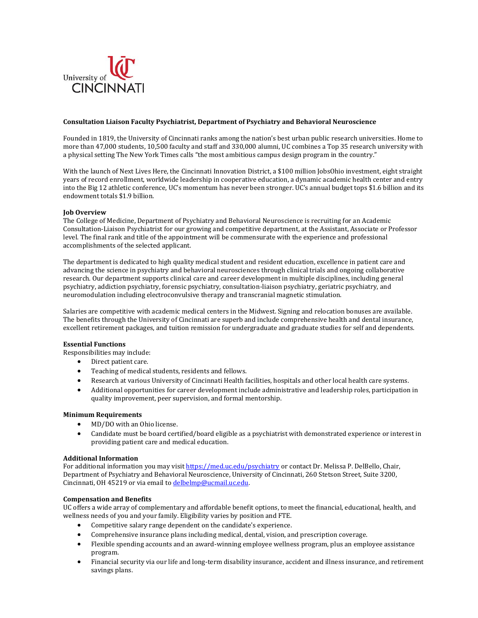

### **Consultation Liaison Faculty Psychiatrist, Department of Psychiatry and Behavioral Neuroscience**

Founded in 1819, the University of Cincinnati ranks among the nation's best urban public research universities. Home to more than 47,000 students, 10,500 faculty and staff and 330,000 alumni, UC combines a Top 35 research university with a physical setting The New York Times calls "the most ambitious campus design program in the country."

With the launch of Next Lives Here, the Cincinnati Innovation District, a \$100 million JobsOhio investment, eight straight years of record enrollment, worldwide leadership in cooperative education, a dynamic academic health center and entry into the Big 12 athletic conference, UC's momentum has never been stronger. UC's annual budget tops \$1.6 billion and its endowment totals \$1.9 billion.

## **Job Overview**

The College of Medicine, Department of Psychiatry and Behavioral Neuroscience is recruiting for an Academic Consultation-Liaison Psychiatrist for our growing and competitive department, at the Assistant, Associate or Professor level. The final rank and title of the appointment will be commensurate with the experience and professional accomplishments of the selected applicant.

The department is dedicated to high quality medical student and resident education, excellence in patient care and advancing the science in psychiatry and behavioral neurosciences through clinical trials and ongoing collaborative research. Our department supports clinical care and career development in multiple disciplines, including general psychiatry, addiction psychiatry, forensic psychiatry, consultation-liaison psychiatry, geriatric psychiatry, and neuromodulation including electroconvulsive therapy and transcranial magnetic stimulation.

Salaries are competitive with academic medical centers in the Midwest. Signing and relocation bonuses are available. The benefits through the University of Cincinnati are superb and include comprehensive health and dental insurance, excellent retirement packages, and tuition remission for undergraduate and graduate studies for self and dependents.

## **Essential Functions**

Responsibilities may include:

- Direct patient care.
- Teaching of medical students, residents and fellows.
- Research at various University of Cincinnati Health facilities, hospitals and other local health care systems.
- Additional opportunities for career development include administrative and leadership roles, participation in quality improvement, peer supervision, and formal mentorship.

# **Minimum Requirements**

- MD/DO with an Ohio license.
- Candidate must be board certified/board eligible as a psychiatrist with demonstrated experience or interest in providing patient care and medical education.

## **Additional Information**

For additional information you may visi[t https://med.uc.edu/psychiatry](https://med.uc.edu/psychiatry) or contact Dr. Melissa P. DelBello, Chair, Department of Psychiatry and Behavioral Neuroscience, University of Cincinnati, 260 Stetson Street, Suite 3200, Cincinnati, OH 45219 or via email t[o delbelmp@ucmail.uc.edu.](mailto:delbelmp@ucmail.uc.edu) 

### **Compensation and Benefits**

UC offers a wide array of complementary and affordable benefit options, to meet the financial, educational, health, and wellness needs of you and your family. Eligibility varies by position and FTE.

- Competitive salary range dependent on the candidate's experience.
- Comprehensive insurance plans including medical, dental, vision, and prescription coverage.
- Flexible spending accounts and an award-winning employee wellness program, plus an employee assistance program.
- Financial security via our life and long-term disability insurance, accident and illness insurance, and retirement savings plans.